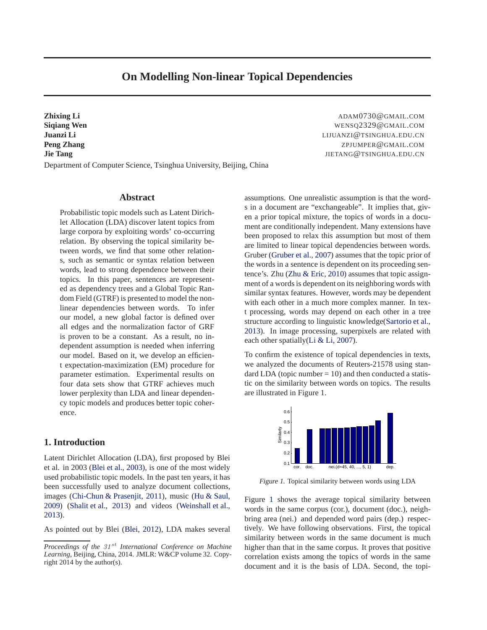# **On Modelling Non-linear Topical Dependencies**

<span id="page-0-0"></span>**Zhixing Li** ADAM0730@GMAIL.COM **Siqiang Wen** WENSQ2329@GMAIL.COM **Juanzi Li** LIJUANZI@TSINGHUA.EDU.CN **Peng Zhang** ZPJUMPER @GMAIL.COM **Jie Tang** JIETANG@TSINGHUA.EDU.CN Department of Computer Science, Tsinghua University, Beijing, China

## **Abstract**

Probabilistic topic models such as Latent Dirichlet Allocation (LDA) discover latent topics from large corpora by exploiting words' co-occurring relation. By observing the topical similarity between words, we find that some other relations, such as semantic or syntax relation between words, lead to strong dependence between their topics. In this paper, sentences are represented as dependency trees and a Global Topic Random Field (GTRF) is presented to model the nonlinear dependencies between words. To infer our model, a new global factor is defined over all edges and the normalization factor of GRF is proven to be a constant. As a result, no independent assumption is needed when inferring our model. Based on it, we develop an efficient expectation-maximization (EM) procedure for parameter estimation. Experimental results on four data sets show that GTRF achieves much lower perplexity than LDA and linear dependency topic models and produces better topic coherence.

# **1. Introduction**

Latent Dirichlet Allocation (LDA), first proposed by Blei et al. in 2003 [\(Blei et al.,](#page-8-0) [2003](#page-8-0)), is one of the most widely used probabilistic topic models. In the past ten years, it has been successfully used to analyze document collections, images [\(Chi-Chun & Prasenjit,](#page-8-0) [2011\)](#page-8-0), music [\(Hu & Saul,](#page-8-0) [2009\)](#page-8-0) [\(Shalit et al.,](#page-8-0) [2013](#page-8-0)) and videos [\(Weinshall et al.,](#page-8-0) [2013\)](#page-8-0).

As pointed out by Blei [\(Blei](#page-8-0), [2012\)](#page-8-0), LDA makes several

assumptions. One unrealistic assumption is that the words in a document are "exchangeable". It implies that, given a prior topical mixture, the topics of words in a document are conditionally independent. Many extensions have been proposed to relax this assumption but most of them are limited to linear topical dependencies between words. Gruber [\(Gruber et al.](#page-8-0), [2007](#page-8-0)) assumes that the topic prior of the words in a sentence is dependent on its proceeding sentence's. Zhu [\(Zhu & Eric,](#page-8-0) [2010\)](#page-8-0) assumes that topic assignment of a words is dependent on its neighboring words with similar syntax features. However, words may be dependent with each other in a much more complex manner. In text processing, words may depend on each other in a tree structure according to linguistic knowledge[\(Sartorio et al.,](#page-8-0) [2013\)](#page-8-0). In image processing, superpixels are related with each other spatially[\(Li & Li,](#page-8-0) [2007\)](#page-8-0).

To confirm the existence of topical dependencies in texts, we analyzed the documents of Reuters-21578 using standard LDA (topic number  $= 10$ ) and then conducted a statistic on the similarity between words on topics. The results are illustrated in Figure 1.



Figure 1. Topical similarity between words using LDA

Figure 1 shows the average topical similarity between words in the same corpus (cor.), document (doc.), neighbring area (nei.) and depended word pairs (dep.) respectively. We have following observations. First, the topical similarity between words in the same document is much higher than that in the same corpus. It proves that positive correlation exists among the topics of words in the same document and it is the basis of LDA. Second, the topi-

*Proceedings of the 31<sup>st</sup> International Conference on Machine Learning*, Beijing, China, 2014. JMLR: W&CP volume 32. Copyright 2014 by the author(s).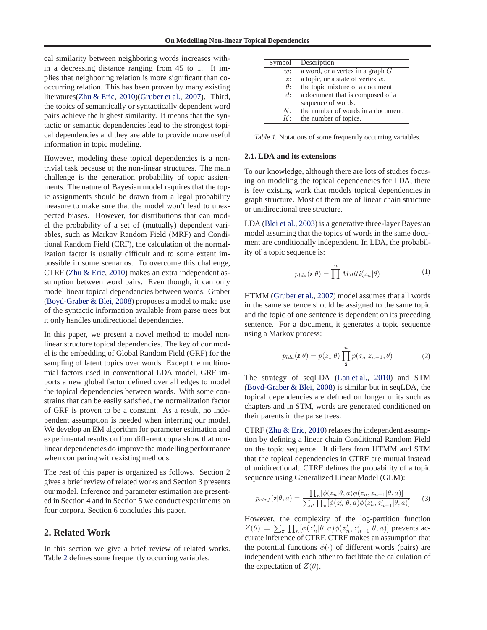cal similarity between neighboring words increases within a decreasing distance ranging from 45 to 1. It implies that neighboring relation is more significant than cooccurring relation. This has been proven by many existing literatures[\(Zhu & Eric](#page-8-0), [2010\)\(Gruber et al.,](#page-8-0) [2007\)](#page-8-0). Third, the topics of semantically or syntactically dependent word pairs achieve the highest similarity. It means that the syntactic or semantic dependencies lead to the strongest topical dependencies and they are able to provide more useful information in topic modeling.

However, modeling these topical dependencies is a nontrivial task because of the non-linear structures. The main challenge is the generation probability of topic assignments. The nature of Bayesian model requires that the topic assignments should be drawn from a legal probability measure to make sure that the model won't lead to unexpected biases. However, for distributions that can model the probability of a set of (mutually) dependent variables, such as Markov Random Field (MRF) and Conditional Random Field (CRF), the calculation of the normalization factor is usually difficult and to some extent impossible in some scenarios. To overcome this challenge, CTRF [\(Zhu & Eric,](#page-8-0) [2010](#page-8-0)) makes an extra independent assumption between word pairs. Even though, it can only model linear topical dependencies between words. Graber [\(Boyd-Graber & Blei,](#page-8-0) [2008](#page-8-0)) proposes a model to make use of the syntactic information available from parse trees but it only handles unidirectional dependencies.

In this paper, we present a novel method to model nonlinear structure topical dependencies. The key of our model is the embedding of Global Random Field (GRF) for the sampling of latent topics over words. Except the multinomial factors used in conventional LDA model, GRF imports a new global factor defined over all edges to model the topical dependencies between words. With some constrains that can be easily satisfied, the normalization factor of GRF is proven to be a constant. As a result, no independent assumption is needed when inferring our model. We develop an EM algorithm for parameter estimation and experimental results on four different copra show that nonlinear dependencies do improve the modelling performance when comparing with existing methods.

The rest of this paper is organized as follows. Section 2 gives a brief review of related works and Section 3 presents our model. Inference and parameter estimation are presented in Section 4 and in Section 5 we conduct experiments on four corpora. Section 6 concludes this paper.

## **2. Related Work**

In this section we give a brief review of related works. Table 2 defines some frequently occurring variables.

| Symbol            | Description                         |
|-------------------|-------------------------------------|
| w:                | a word, or a vertex in a graph $G$  |
| z:                | a topic, or a state of vertex $w$ . |
| $\theta$ :        | the topic mixture of a document.    |
| $d$ :             | a document that is composed of a    |
|                   | sequence of words.                  |
| N:                | the number of words in a document.  |
| $K^{\mathcal{A}}$ | the number of topics.               |

Table 1. Notations of some frequently occurring variables.

## **2.1. LDA and its extensions**

To our knowledge, although there are lots of studies focusing on modeling the topical dependencies for LDA, there is few existing work that models topical dependencies in graph structure. Most of them are of linear chain structure or unidirectional tree structure.

LDA [\(Blei et al.](#page-8-0), [2003\)](#page-8-0) is a generative three-layer Bayesian model assuming that the topics of words in the same document are conditionally independent. In LDA, the probability of a topic sequence is:

$$
p_{lda}(z|\theta) = \prod^{n} Multi(z_n|\theta)
$$
 (1)

HTMM [\(Gruber et al.](#page-8-0), [2007](#page-8-0)) model assumes that all words in the same sentence should be assigned to the same topic and the topic of one sentence is dependent on its preceding sentence. For a document, it generates a topic sequence using a Markov process:

$$
p_{lda}(z|\theta) = p(z_1|\theta) \prod_{2}^{n} p(z_n|z_{n-1}, \theta)
$$
 (2)

The strategy of seqLDA [\(Lan et al.,](#page-8-0) [2010\)](#page-8-0) and STM [\(Boyd-Graber & Blei,](#page-8-0) [2008\)](#page-8-0) is similar but in seqLDA, the topical dependencies are defined on longer units such as chapters and in STM, words are generated conditioned on their parents in the parse trees.

CTRF [\(Zhu & Eric](#page-8-0), [2010\)](#page-8-0) relaxes the independent assumption by defining a linear chain Conditional Random Field on the topic sequence. It differs from HTMM and STM that the topical dependencies in CTRF are mutual instead of unidirectional. CTRF defines the probability of a topic sequence using Generalized Linear Model (GLM):

$$
p_{ctrf}(z|\theta, a) = \frac{\prod_{n} [\phi(z_n|\theta, a)\phi(z_n, z_{n+1}|\theta, a)]}{\sum_{z'} \prod_{n} [\phi(z'_n|\theta, a)\phi(z'_n, z'_{n+1}|\theta, a)]}
$$
(3)

However, the complexity of the log-partition function  $Z(\theta) = \sum_{z'} \prod_n [\phi(z'_n | \theta, a) \phi(z'_n, z'_{n+1} | \theta, a)]$  prevents accurate inference of CTRF. CTRF makes an assumption that the potential functions  $\phi(\cdot)$  of different words (pairs) are independent with each other to facilitate the calculation of the expectation of  $Z(\theta)$ .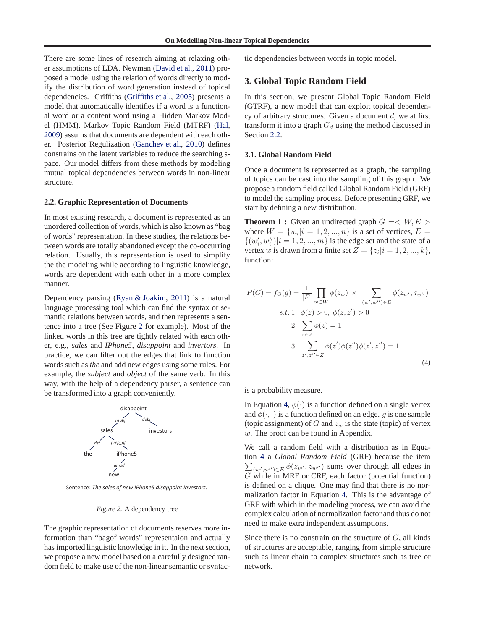<span id="page-2-0"></span>There are some lines of research aiming at relaxing other assumptions of LDA. Newman [\(David et al.,](#page-8-0) [2011\)](#page-8-0) proposed a model using the relation of words directly to modify the distribution of word generation instead of topical dependencies. Griffiths [\(Griffiths et al.,](#page-8-0) [2005\)](#page-8-0) presents a model that automatically identifies if a word is a functional word or a content word using a Hidden Markov Model (HMM). Markov Topic Random Field (MTRF) [\(Hal,](#page-8-0) [2009\)](#page-8-0) assums that documents are dependent with each other. Posterior Regulization [\(Ganchev et al.,](#page-8-0) [2010\)](#page-8-0) defines constrains on the latent variables to reduce the searching space. Our model differs from these methods by modeling mutual topical dependencies between words in non-linear structure.

#### **2.2. Graphic Representation of Documents**

In most existing research, a document is represented as an unordered collection of words, which is also known as "bag of words" representation. In these studies, the relations between words are totally abandoned except the co-occurring relation. Usually, this representation is used to simplify the the modeling while according to linguistic knowledge, words are dependent with each other in a more complex manner.

Dependency parsing [\(Ryan & Joakim,](#page-8-0) [2011](#page-8-0)) is a natural language processing tool which can find the syntax or semantic relations between words, and then represents a sentence into a tree (See Figure 2 for example). Most of the linked words in this tree are tightly related with each other, e.g., *sales* and *IPhone5*, *disappoint* and *invertors*. In practice, we can filter out the edges that link to function words such as *the* and add new edges using some rules. For example, the *subject* and *object* of the same verb. In this way, with the help of a dependency parser, a sentence can be transformed into a graph conveniently.



Sentence: *The sales of new iPhone5 disappoint investors.*

#### Figure 2. A dependency tree

The graphic representation of documents reserves more information than "bagof words" representaion and actually has imported linguistic knowledge in it. In the next section, we propose a new model based on a carefully designed random field to make use of the non-linear semantic or syntactic dependencies between words in topic model.

## **3. Global Topic Random Field**

In this section, we present Global Topic Random Field (GTRF), a new model that can exploit topical dependency of arbitrary structures. Given a document  $d$ , we at first transform it into a graph  $G_d$  using the method discussed in Section 2.2.

#### **3.1. Global Random Field**

Once a document is represented as a graph, the sampling of topics can be cast into the sampling of this graph. We propose a random field called Global Random Field (GRF) to model the sampling process. Before presenting GRF, we start by defining a new distribution.

**Theorem 1 :** Given an undirected graph  $G = \langle W, E \rangle$ where  $W = \{w_i | i = 1, 2, ..., n\}$  is a set of vertices,  $E =$  $\{(w'_i, w''_i)|i = 1, 2, ..., m\}$  is the edge set and the state of a vertex *w* is drawn from a finite set  $Z = \{z_i | i = 1, 2, ..., k\},\$ function:

$$
P(G) = f_G(g) = \frac{1}{|E|} \prod_{w \in W} \phi(z_w) \times \sum_{(w', w'') \in E} \phi(z_{w'}, z_{w''})
$$
  
s.t. 1.  $\phi(z) > 0, \phi(z, z') > 0$   
2.  $\sum_{z \in Z} \phi(z) = 1$   
3.  $\sum_{z', z'' \in Z} \phi(z') \phi(z'') \phi(z', z'') = 1$  (4)

is a probability measure.

In Equation 4,  $\phi(\cdot)$  is a function defined on a single vertex and  $\phi(\cdot, \cdot)$  is a function defined on an edge. g is one sample (topic assignment) of G and  $z_w$  is the state (topic) of vertex w. The proof can be found in Appendix.

We call a random field with a distribution as in Equation 4 a *Global Random Field* (GRF) because the item  $\sum_{(w',w'')\in E} \phi(z_{w'},z_{w''})$  sums over through all edges in G while in MRF or CRF, each factor (potential function) is defined on a clique. One may find that there is no normalization factor in Equation 4. This is the advantage of GRF with which in the modeling process, we can avoid the complex calculation of normalization factor and thus do not need to make extra independent assumptions.

Since there is no constrain on the structure of  $G$ , all kinds of structures are acceptable, ranging from simple structure such as linear chain to complex structures such as tree or network.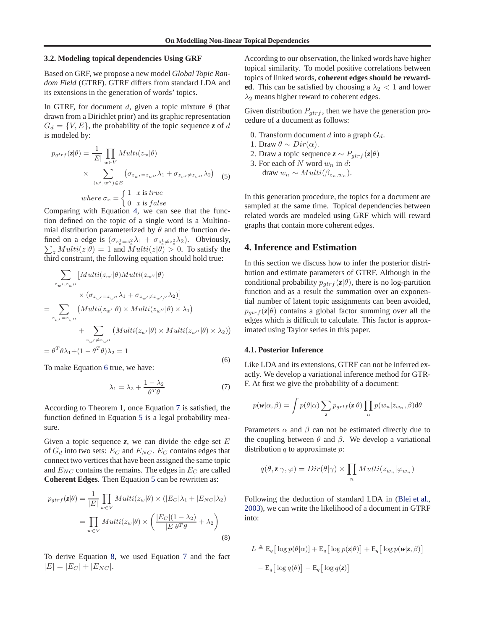## **3.2. Modeling topical dependencies Using GRF**

Based on GRF, we propose a new model *Global Topic Random Field* (GTRF). GTRF differs from standard LDA and its extensions in the generation of words' topics.

In GTRF, for document d, given a topic mixture  $\theta$  (that drawn from a Dirichlet prior) and its graphic representation  $G_d = \{V, E\}$ , the probability of the topic sequence *z* of d is modeled by:

$$
p_{gtrf}(z|\theta) = \frac{1}{|E|} \prod_{w \in V} Multi(z_w|\theta)
$$
  
 
$$
\times \sum_{(w',w'') \in E} (\sigma_{z_{w'}=z_{w''}} \lambda_1 + \sigma_{z_{w'}\neq z_{w''}} \lambda_2) \quad (5)
$$
  
where  $\sigma_x = \begin{cases} 1 & x \text{ is true} \\ 0 & x \text{ is false} \end{cases}$ 

Comparing with Equation [4,](#page-2-0) we can see that the function defined on the topic of a single word is a Multinomial distribution parameterized by  $\theta$  and the function defined on a edge is  $(\sigma_{z_e^1=z_e^2}\lambda_1 + \sigma_{z_e^1 \neq z_e^2}\lambda_2)$ . Obviously,  $\sum_{z} Multi(z|\theta) = 1$  and  $Multi(z|\theta) > 0$ . To satisfy the third constraint, the following equation should hold true:

$$
\sum_{z_{w'}, z_{w''}} [Multi(z_{w'}|\theta)Multi(z_{w''}|\theta)
$$
  
\n
$$
\times (\sigma_{z_{w'}=z_{w''}}\lambda_1 + \sigma_{z_{w'}\neq z_{w'/\prime}}\lambda_2)]
$$
  
\n
$$
= \sum_{z_{w'}=z_{w''}} (Multi(z_{w'}|\theta) \times Multi(z_{w''}|\theta) \times \lambda_1)
$$
  
\n
$$
+ \sum_{z_{w'}\neq z_{w''}} (Multi(z_{w'}|\theta) \times Multi(z_{w''}|\theta) \times \lambda_2))
$$
  
\n
$$
= \theta^T \theta \lambda_1 + (1 - \theta^T \theta) \lambda_2 = 1
$$

To make Equation 6 true, we have:

$$
\lambda_1 = \lambda_2 + \frac{1 - \lambda_2}{\theta^T \theta} \tag{7}
$$

According to Theorem 1, once Equation 7 is satisfied, the function defined in Equation 5 is a legal probability measure.

Given a topic sequence  $z$ , we can divide the edge set  $E$ of  $G_d$  into two sets:  $E_C$  and  $E_{NC}$ .  $E_C$  contains edges that connect two vertices that have been assigned the same topic and  $E_{NC}$  contains the remains. The edges in  $E_C$  are called **Coherent Edges**. Then Equation 5 can be rewritten as:

$$
p_{gtrf}(\mathbf{z}|\theta) = \frac{1}{|E|} \prod_{w \in V} Multi(z_w|\theta) \times (|E_C|\lambda_1 + |E_{NC}|\lambda_2)
$$
  
= 
$$
\prod_{w \in V} Multi(z_w|\theta) \times \left( \frac{|E_C|(1-\lambda_2)}{|E|\theta^T\theta} + \lambda_2 \right)
$$
(8)

To derive Equation 8, we used Equation 7 and the fact  $|E| = |E_C| + |E_{NC}|.$ 

According to our observation, the linked words have higher topical similarity. To model positive correlations between topics of linked words, **coherent edges should be rewarded**. This can be satisfied by choosing a  $\lambda_2 < 1$  and lower  $\lambda_2$  means higher reward to coherent edges.

Given distribution  $P_{\text{dtr}f}$ , then we have the generation procedure of a document as follows:

- 0. Transform document d into a graph  $G_d$ .
- 1. Draw  $\theta \sim Dir(\alpha)$ .
- 2. Draw a topic sequence  $z \sim P_{gtrf}(z|\theta)$
- 3. For each of N word  $w_n$  in d: draw  $w_n \sim Multi(\beta_{z_n,w_n}).$

In this generation procedure, the topics for a document are sampled at the same time. Topical dependencies between related words are modeled using GRF which will reward graphs that contain more coherent edges.

## **4. Inference and Estimation**

In this section we discuss how to infer the posterior distribution and estimate parameters of GTRF. Although in the conditional probability  $p_{attrf}(z|\theta)$ , there is no log-partition function and as a result the summation over an exponential number of latent topic assignments can been avoided,  $p_{attrf}(z|\theta)$  contains a global factor summing over all the edges which is difficult to calculate. This factor is approximated using Taylor series in this paper.

#### **4.1. Posterior Inference**

(6)

Like LDA and its extensions, GTRF can not be inferred exactly. We develop a variational inference method for GTR-F. At first we give the probability of a document:

$$
p(\mathbf{w}|\alpha,\beta) = \int p(\theta|\alpha) \sum_{z} p_{grtf}(z|\theta) \prod_{n} p(w_n|z_{w_n}, \beta) d\theta
$$

Parameters  $\alpha$  and  $\beta$  can not be estimated directly due to the coupling between  $\theta$  and  $\beta$ . We develop a variational distribution  $q$  to approximate  $p$ :

$$
q(\theta, \mathbf{z} | \gamma, \varphi) = Dir(\theta | \gamma) \times \prod_n Multi(z_{w_n} | \varphi_{w_n})
$$

Following the deduction of standard LDA in [\(Blei et al.,](#page-8-0) [2003\)](#page-8-0), we can write the likelihood of a document in GTRF into:

$$
L \triangleq \mathsf{E}_q\big[\log p(\theta|\alpha)\big] + \mathsf{E}_q\big[\log p(\mathbf{z}|\theta)\big] + \mathsf{E}_q\big[\log p(\mathbf{w}|\mathbf{z}, \beta)\big]
$$

$$
-\mathsf{E}_q\big[\log q(\theta)\big] - \mathsf{E}_q\big[\log q(\mathbf{z})\big]
$$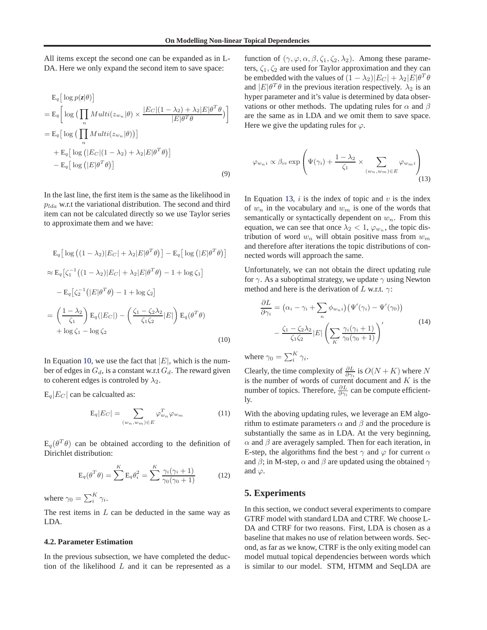All items except the second one can be expanded as in L-DA. Here we only expand the second item to save space:

$$
E_q \left[ \log p(z|\theta) \right]
$$
  
=  $E_q \left[ \log \left( \prod_n Multi(z_{w_n}|\theta) \times \frac{|E_C|(1-\lambda_2) + \lambda_2|E|\theta^T\theta}{|E|\theta^T\theta} \right) \right]$   
=  $E_q \left[ \log \left( \prod_n Multi(z_{w_n}|\theta) \right) \right]$   
+  $E_q \left[ \log \left( |E_C|(1-\lambda_2) + \lambda_2|E|\theta^T\theta \right) \right]$   
-  $E_q \left[ \log \left( |E|\theta^T\theta \right) \right]$  (9)

In the last line, the first item is the same as the likelihood in  $p_{lda}$  w.r.t the variational distribution. The second and third item can not be calculated directly so we use Taylor series to approximate them and we have:

$$
E_q \left[ \log \left( (1 - \lambda_2) |E_C| + \lambda_2 |E| \theta^T \theta \right) \right] - E_q \left[ \log \left( |E| \theta^T \theta \right) \right]
$$
  
\n
$$
\approx E_q \left[ \zeta_1^{-1} \left( (1 - \lambda_2) |E_C| + \lambda_2 |E| \theta^T \theta \right) - 1 + \log \zeta_1 \right]
$$
  
\n
$$
- E_q \left[ \zeta_2^{-1} \left( |E| \theta^T \theta \right) - 1 + \log \zeta_2 \right]
$$
  
\n
$$
= \left( \frac{1 - \lambda_2}{\zeta_1} \right) E_q (|E_C|) - \left( \frac{\zeta_1 - \zeta_2 \lambda_2}{\zeta_1 \zeta_2} |E| \right) E_q (\theta^T \theta)
$$
  
\n
$$
+ \log \zeta_1 - \log \zeta_2
$$
\n(10)

In Equation 10, we use the fact that  $|E|$ , which is the number of edges in  $G_d$ , is a constant w.r.t  $G_d$ . The reward given to coherent edges is controled by  $\lambda_2$ .

 $E_q|E_C|$  can be calcualted as:

$$
E_q|E_C| = \sum_{(w_n, w_m) \in E} \varphi_{w_n}^T \varphi_{w_m}
$$
 (11)

 $E_q(\theta^T \theta)$  can be obtained according to the definition of Dirichlet distribution:

$$
\mathbf{E}_q(\theta^T \theta) = \sum^{K} \mathbf{E}_q \theta_i^2 = \sum^{K} \frac{\gamma_i(\gamma_i + 1)}{\gamma_0(\gamma_0 + 1)}
$$
(12)

where  $\gamma_0 = \sum_i^K \gamma_i$ .

The rest items in  $L$  can be deducted in the same way as LDA.

## **4.2. Parameter Estimation**

In the previous subsection, we have completed the deduction of the likelihood  $L$  and it can be represented as a function of  $(\gamma, \varphi, \alpha, \beta, \zeta_1, \zeta_2, \lambda_2)$ . Among these parameters,  $\zeta_1, \zeta_2$  are used for Taylor approximation and they can be embedded with the values of  $(1 - \lambda_2)|E_C| + \lambda_2|E|\theta^T\theta$ and  $|E|\theta^T\theta$  in the previous iteration respectively.  $\lambda_2$  is an hyper parameter and it's value is determined by data observations or other methods. The updating rules for  $\alpha$  and  $\beta$ are the same as in LDA and we omit them to save space. Here we give the updating rules for  $\varphi$ .

$$
\varphi_{w_n i} \propto \beta_{i v} \exp\left(\Psi(\gamma_i) + \frac{1 - \lambda_2}{\zeta_1} \times \sum_{(w_n, w_m) \in E} \varphi_{w_m i}\right)
$$
\n(13)

In Equation 13,  $i$  is the index of topic and  $v$  is the index of  $w_n$  in the vocabulary and  $w_m$  is one of the words that semantically or syntactically dependent on  $w_n$ . From this equation, we can see that once  $\lambda_2 < 1$ ,  $\varphi_{w_n}$ , the topic distribution of word  $w_n$  will obtain positive mass from  $w_m$ and therefore after iterations the topic distributions of connected words will approach the same.

Unfortunately, we can not obtain the direct updating rule for  $\gamma$ . As a suboptimal strategy, we update  $\gamma$  using Newton method and here is the derivation of L w.r.t.  $\gamma$ :

$$
\frac{\partial L}{\partial \gamma_i} = (\alpha_i - \gamma_i + \sum_n \phi_{w_n i}) (\Psi'(\gamma_i) - \Psi'(\gamma_0))
$$

$$
- \frac{\zeta_1 - \zeta_2 \lambda_2}{\zeta_1 \zeta_2} |E| \left( \sum_K \frac{\gamma_i (\gamma_i + 1)}{\gamma_0 (\gamma_0 + 1)} \right)'
$$
(14)

where  $\gamma_0 = \sum_i^K \gamma_i$ .

Clearly, the time complexity of  $\frac{\partial L}{\partial \gamma_i}$  is  $O(N+K)$  where N is the number of words of current document and  $K$  is the number of topics. Therefore,  $\frac{\partial L}{\partial \gamma_i}$  can be compute efficiently.

With the aboving updating rules, we leverage an EM algorithm to estimate parameters  $\alpha$  and  $\beta$  and the procedure is substantially the same as in LDA. At the very beginning,  $\alpha$  and  $\beta$  are averagely sampled. Then for each iteration, in E-step, the algorithms find the best  $\gamma$  and  $\varphi$  for current  $\alpha$ and  $\beta$ ; in M-step,  $\alpha$  and  $\beta$  are updated using the obtained  $\gamma$ and  $\varphi$ .

## **5. Experiments**

In this section, we conduct several experiments to compare GTRF model with standard LDA and CTRF. We choose L-DA and CTRF for two reasons. First, LDA is chosen as a baseline that makes no use of relation between words. Second, as far as we know, CTRF is the only exiting model can model mutual topical dependencies between words which is similar to our model. STM, HTMM and SeqLDA are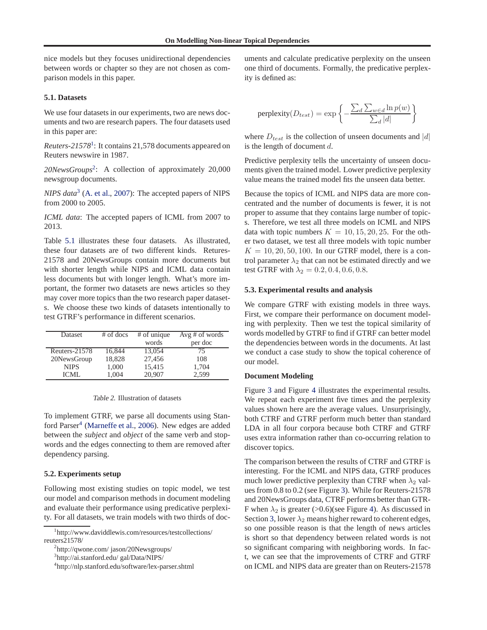nice models but they focuses unidirectional dependencies between words or chapter so they are not chosen as comparison models in this paper.

## **5.1. Datasets**

We use four datasets in our experiments, two are news documents and two are research papers. The four datasets used in this paper are:

*Reuters-21578*<sup>1</sup> : It contains 21,578 documents appeared on Reuters newswire in 1987.

*20NewsGroups*<sup>2</sup> : A collection of approximately 20,000 newsgroup documents.

*NIPS data*<sup>3</sup> [\(A. et al.](#page-7-0), [2007\)](#page-7-0): The accepted papers of NIPS from 2000 to 2005.

*ICML data*: The accepted papers of ICML from 2007 to 2013.

Table 5.1 illustrates these four datasets. As illustrated, these four datasets are of two different kinds. Retures-21578 and 20NewsGroups contain more documents but with shorter length while NIPS and ICML data contain less documents but with longer length. What's more important, the former two datasets are news articles so they may cover more topics than the two research paper datasets. We choose these two kinds of datasets intentionally to test GTRF's performance in different scenarios.

| Dataset       | $#$ of docs | $#$ of unique | $Avg \# of words$ |
|---------------|-------------|---------------|-------------------|
|               |             | words         | per doc           |
| Reuters-21578 | 16,844      | 13,054        | 75                |
| 20NewsGroup   | 18,828      | 27,456        | 108               |
| <b>NIPS</b>   | 1,000       | 15,415        | 1,704             |
| ICML          | 1.004       | 20.907        | 2.599             |

#### Table 2. Illustration of datasets

To implement GTRF, we parse all documents using Stan-ford Parser<sup>4</sup> [\(Marneffe et al.](#page-8-0), [2006\)](#page-8-0). New edges are added between the *subject* and *object* of the same verb and stopwords and the edges connecting to them are removed after dependency parsing.

#### **5.2. Experiments setup**

Following most existing studies on topic model, we test our model and comparison methods in document modeling and evaluate their performance using predicative perplexity. For all datasets, we train models with two thirds of doc-

2 http://qwone.com/ jason/20Newsgroups/

3 http://ai.stanford.edu/ gal/Data/NIPS/

uments and calculate predicative perplexity on the unseen one third of documents. Formally, the predicative perplexity is defined as:

$$
\text{perplexity}(D_{test}) = \exp\left\{-\frac{\sum_d \sum_{w \in d} \ln p(w)}{\sum_d |d|}\right\}
$$

where  $D_{test}$  is the collection of unseen documents and  $|d|$ is the length of document d.

Predictive perplexity tells the uncertainty of unseen documents given the trained model. Lower predictive perplexity value means the trained model fits the unseen data better.

Because the topics of ICML and NIPS data are more concentrated and the number of documents is fewer, it is not proper to assume that they contains large number of topics. Therefore, we test all three models on ICML and NIPS data with topic numbers  $K = 10, 15, 20, 25$ . For the other two dataset, we test all three models with topic number  $K = 10, 20, 50, 100$ . In our GTRF model, there is a control parameter  $\lambda_2$  that can not be estimated directly and we test GTRF with  $\lambda_2 = 0.2, 0.4, 0.6, 0.8$ .

## **5.3. Experimental results and analysis**

We compare GTRF with existing models in three ways. First, we compare their performance on document modeling with perplexity. Then we test the topical similarity of words modelled by GTRF to find if GTRF can better model the dependencies between words in the documents. At last we conduct a case study to show the topical coherence of our model.

#### **Document Modeling**

Figure [3](#page-6-0) and Figure [4](#page-6-0) illustrates the experimental results. We repeat each experiment five times and the perplexity values shown here are the average values. Unsurprisingly, both CTRF and GTRF perform much better than standard LDA in all four corpora because both CTRF and GTRF uses extra information rather than co-occurring relation to discover topics.

The comparison between the results of CTRF and GTRF is interesting. For the ICML and NIPS data, GTRF produces much lower predictive perplexity than CTRF when  $\lambda_2$  values from 0.8 to 0.2 (see Figure [3\)](#page-6-0). While for Reuters-21578 and 20NewsGroups data, CTRF performs better than GTR-F when  $\lambda_2$  is greater (>0.6)(see Figure [4\)](#page-6-0). As discussed in Section [3,](#page-2-0) lower  $\lambda_2$  means higher reward to coherent edges, so one possible reason is that the length of news articles is short so that dependency between related words is not so significant comparing with neighboring words. In fact, we can see that the improvements of CTRF and GTRF on ICML and NIPS data are greater than on Reuters-21578

<sup>1</sup> http://www.daviddlewis.com/resources/testcollections/ reuters21578/

<sup>4</sup> http://nlp.stanford.edu/software/lex-parser.shtml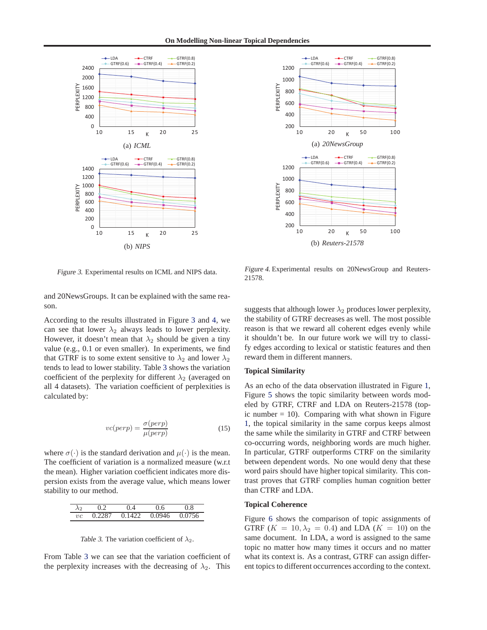<span id="page-6-0"></span>

Figure 3. Experimental results on ICML and NIPS data.

and 20NewsGroups. It can be explained with the same reason.

According to the results illustrated in Figure 3 and 4, we can see that lower  $\lambda_2$  always leads to lower perplexity. However, it doesn't mean that  $\lambda_2$  should be given a tiny value (e.g., 0.1 or even smaller). In experiments, we find that GTRF is to some extent sensitive to  $\lambda_2$  and lower  $\lambda_2$ tends to lead to lower stability. Table 3 shows the variation coefficient of the perplexity for different  $\lambda_2$  (averaged on all 4 datasets). The variation coefficient of perplexities is calculated by:

$$
vc(perp) = \frac{\sigma(perp)}{\mu(perp)}\tag{15}
$$

where  $\sigma(\cdot)$  is the standard derivation and  $\mu(\cdot)$  is the mean. The coefficient of variation is a normalized measure (w.r.t the mean). Higher variation coefficient indicates more dispersion exists from the average value, which means lower stability to our method.

| ላ2      |       |      |       | 8             |
|---------|-------|------|-------|---------------|
| $_{vc}$ | דצניו | 1422 | .0946 | $\sim$ $\sim$ |

Table 3. The variation coefficient of  $\lambda_2$ .

From Table 3 we can see that the variation coefficient of the perplexity increases with the decreasing of  $\lambda_2$ . This



Figure 4. Experimental results on 20NewsGroup and Reuters-21578.

suggests that although lower  $\lambda_2$  produces lower perplexity, the stability of GTRF decreases as well. The most possible reason is that we reward all coherent edges evenly while it shouldn't be. In our future work we will try to classify edges according to lexical or statistic features and then reward them in different manners.

## **Topical Similarity**

As an echo of the data observation illustrated in Figure [1,](#page-0-0) Figure [5](#page-7-0) shows the topic similarity between words modeled by GTRF, CTRF and LDA on Reuters-21578 (topic number  $= 10$ ). Comparing with what shown in Figure [1,](#page-0-0) the topical similarity in the same corpus keeps almost the same while the similarity in GTRF and CTRF between co-occurring words, neighboring words are much higher. In particular, GTRF outperforms CTRF on the similarity between dependent words. No one would deny that these word pairs should have higher topical similarity. This contrast proves that GTRF complies human cognition better than CTRF and LDA.

#### **Topical Coherence**

Figure [6](#page-7-0) shows the comparison of topic assignments of GTRF  $(K = 10, \lambda_2 = 0.4)$  and LDA  $(K = 10)$  on the same document. In LDA, a word is assigned to the same topic no matter how many times it occurs and no matter what its context is. As a contrast, GTRF can assign different topics to different occurrences according to the context.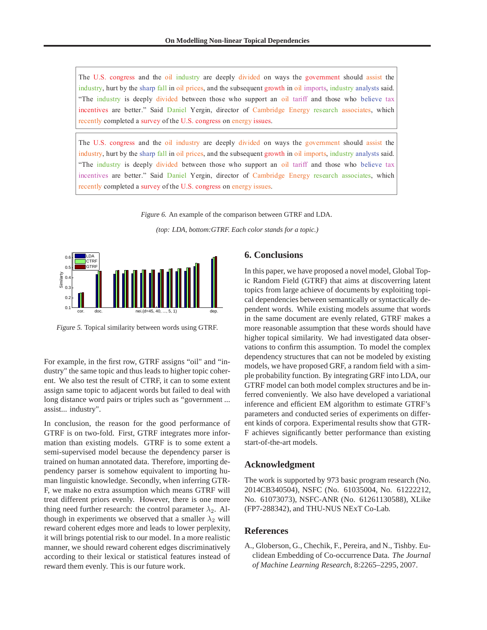<span id="page-7-0"></span>The U.S. congress and the oil industry are deeply divided on ways the government should assist the industry, hurt by the sharp fall in oil prices, and the subsequent growth in oil imports, industry analysts said. "The industry is deeply divided between those who support an oil tariff and those who believe tax incentives are better." Said Daniel Yergin, director of Cambridge Energy research associates, which recently completed a survey of the U.S. congress on energy issues.

The U.S. congress and the oil industry are deeply divided on ways the government should assist the industry, hurt by the sharp fall in oil prices, and the subsequent growth in oil imports, industry analysts said. "The industry is deeply divided between those who support an oil tariff and those who believe tax incentives are better." Said Daniel Yergin, director of Cambridge Energy research associates, which recently completed a survey of the U.S. congress on energy issues.

Figure 6. An example of the comparison between GTRF and LDA.

*(top: LDA, bottom:GTRF. Each color stands for a topic.)*



Figure 5. Topical similarity between words using GTRF.

For example, in the first row, GTRF assigns "oil" and "industry" the same topic and thus leads to higher topic coherent. We also test the result of CTRF, it can to some extent assign same topic to adjacent words but failed to deal with long distance word pairs or triples such as "government ... assist... industry".

In conclusion, the reason for the good performance of GTRF is on two-fold. First, GTRF integrates more information than existing models. GTRF is to some extent a semi-supervised model because the dependency parser is trained on human annotated data. Therefore, importing dependency parser is somehow equivalent to importing human linguistic knowledge. Secondly, when inferring GTR-F, we make no extra assumption which means GTRF will treat different priors evenly. However, there is one more thing need further research: the control parameter  $\lambda_2$ . Although in experiments we observed that a smaller  $\lambda_2$  will reward coherent edges more and leads to lower perplexity, it will brings potential risk to our model. In a more realistic manner, we should reward coherent edges discriminatively according to their lexical or statistical features instead of reward them evenly. This is our future work.

# **6. Conclusions**

In this paper, we have proposed a novel model, Global Topic Random Field (GTRF) that aims at discoverring latent topics from large achieve of documents by exploiting topical dependencies between semantically or syntactically dependent words. While existing models assume that words in the same document are evenly related, GTRF makes a more reasonable assumption that these words should have higher topical similarity. We had investigated data observations to confirm this assumption. To model the complex dependency structures that can not be modeled by existing models, we have proposed GRF, a random field with a simple probability function. By integrating GRF into LDA, our GTRF model can both model complex structures and be inferred conveniently. We also have developed a variational inference and efficient EM algorithm to estimate GTRF's parameters and conducted series of experiments on different kinds of corpora. Experimental results show that GTR-F achieves significantly better performance than existing start-of-the-art models.

## **Acknowledgment**

The work is supported by 973 basic program research (No. 2014CB340504), NSFC (No. 61035004, No. 61222212, No. 61073073), NSFC-ANR (No. 61261130588), XLike (FP7-288342), and THU-NUS NExT Co-Lab.

## **References**

A., Globerson, G., Chechik, F., Pereira, and N., Tishby. Euclidean Embedding of Co-occurrence Data. *The Journal of Machine Learning Research*, 8:2265–2295, 2007.